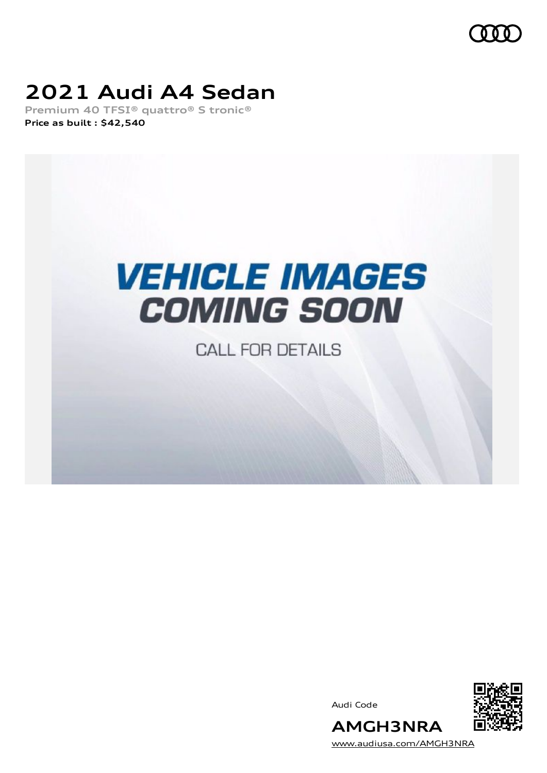

# **2021 Audi A4 Sedan**

**Premium 40 TFSI® quattro® S tronic® Price as built [:](#page-10-0) \$42,540**



**CALL FOR DETAILS** 

Audi Code



[www.audiusa.com/AMGH3NRA](https://www.audiusa.com/AMGH3NRA)

**AMGH3NRA**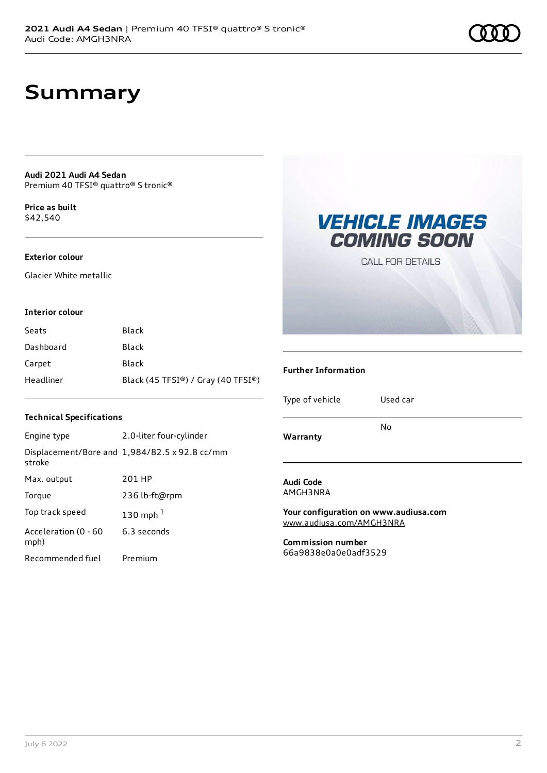# **Summary**

**Audi 2021 Audi A4 Sedan** Premium 40 TFSI® quattro® S tronic®

**Price as buil[t](#page-10-0)** \$42,540

#### **Exterior colour**

Glacier White metallic

#### **Interior colour**

| Seats     | Black                              |
|-----------|------------------------------------|
| Dashboard | Black                              |
| Carpet    | Black                              |
| Headliner | Black (45 TFSI®) / Gray (40 TFSI®) |

#### **Technical Specifications**

| Engine type                  | 2.0-liter four-cylinder                              |
|------------------------------|------------------------------------------------------|
| stroke                       | Displacement/Bore and $1,984/82.5 \times 92.8$ cc/mm |
| Max. output                  | 201 HP                                               |
| Torque                       | 236 lb-ft@rpm                                        |
| Top track speed              | 130 mph $1$                                          |
| Acceleration (0 - 60<br>mph) | 6.3 seconds                                          |
| Recommended fuel             | Premium                                              |

### **VEHICLE IMAGES COMING SOON**

**CALL FOR DETAILS** 

#### **Further Information**

Type of vehicle Used car

**Warranty**

No

**Audi Code** AMGH3NRA

**Your configuration on www.audiusa.com** [www.audiusa.com/AMGH3NRA](https://www.audiusa.com/AMGH3NRA)

**Commission number** 66a9838e0a0e0adf3529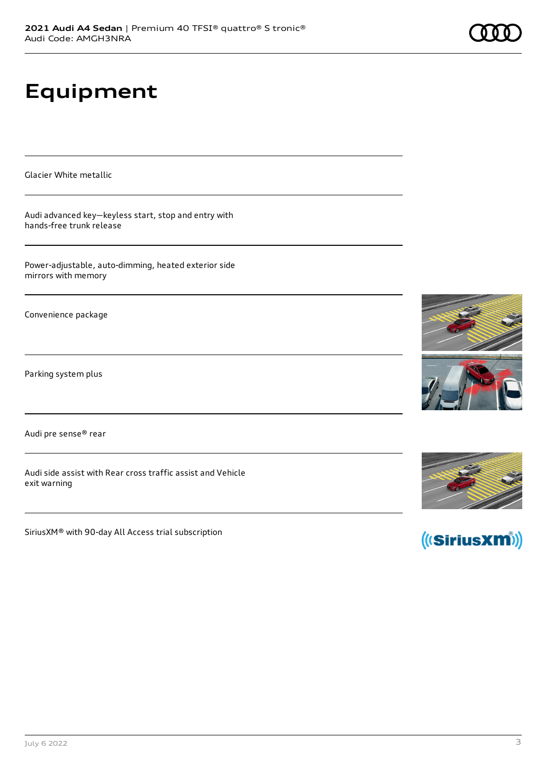# **Equipment**

Glacier White metallic

Audi advanced key—keyless start, stop and entry with hands-free trunk release

Power-adjustable, auto-dimming, heated exterior side mirrors with memory

Convenience package

Parking system plus

Audi pre sense® rear

Audi side assist with Rear cross traffic assist and Vehicle exit warning

SiriusXM® with 90-day All Access trial subscription







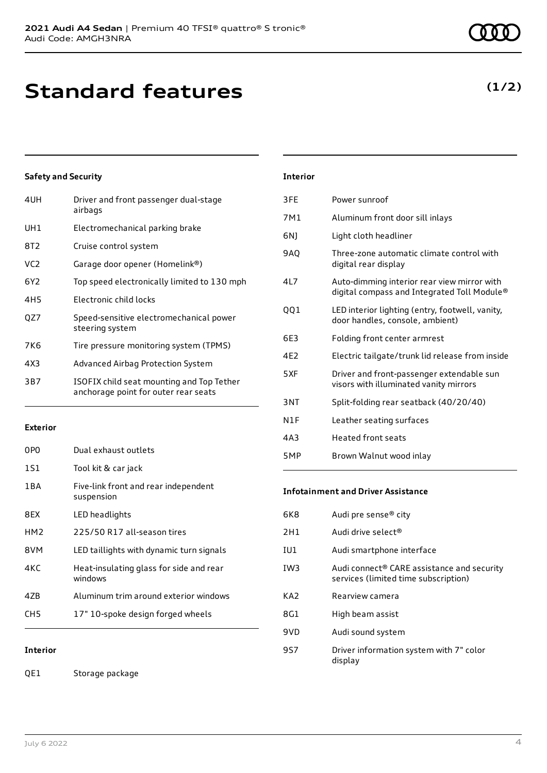| 4UH             | Driver and front passenger dual-stage<br>airbags                                  |
|-----------------|-----------------------------------------------------------------------------------|
| UH1             | Electromechanical parking brake                                                   |
| 8T2             | Cruise control system                                                             |
| VC <sub>2</sub> | Garage door opener (Homelink®)                                                    |
| 6Y2             | Top speed electronically limited to 130 mph                                       |
| 4H <sub>5</sub> | Electronic child locks                                                            |
| QZ7             | Speed-sensitive electromechanical power<br>steering system                        |
| 7K6             | Tire pressure monitoring system (TPMS)                                            |
| 4X3             | Advanced Airbag Protection System                                                 |
| 3B7             | ISOFIX child seat mounting and Top Tether<br>anchorage point for outer rear seats |

#### **Exterior**

| 0PO             | Dual exhaust outlets                               |
|-----------------|----------------------------------------------------|
| 1S1             | Tool kit & car jack                                |
| 1 B A           | Five-link front and rear independent<br>suspension |
| 8FX             | LED headlights                                     |
| HM <sub>2</sub> | 225/50 R17 all-season tires                        |
| 8VM             | LED taillights with dynamic turn signals           |
| 4K C            | Heat-insulating glass for side and rear<br>windows |
| 47B             | Aluminum trim around exterior windows              |
| CH5             | 17" 10-spoke design forged wheels                  |

**Interior**

QE1 Storage package

| <b>Interior</b> |
|-----------------|
|-----------------|

| 3FE             | Power sunroof                                                                              |
|-----------------|--------------------------------------------------------------------------------------------|
| 7M1             | Aluminum front door sill inlays                                                            |
| 6N1             | Light cloth headliner                                                                      |
| 9AQ             | Three-zone automatic climate control with<br>digital rear display                          |
| 4L7             | Auto-dimming interior rear view mirror with<br>digital compass and Integrated Toll Module® |
| QQ1             | LED interior lighting (entry, footwell, vanity,<br>door handles, console, ambient)         |
| 6E3             | Folding front center armrest                                                               |
| 4F <sub>2</sub> | Electric tailgate/trunk lid release from inside                                            |
| 5XF             | Driver and front-passenger extendable sun<br>visors with illuminated vanity mirrors        |
| 3NT             | Split-folding rear seatback (40/20/40)                                                     |
| N1F             | Leather seating surfaces                                                                   |
| 4A3             | <b>Heated front seats</b>                                                                  |
| 5MP             | Brown Walnut wood inlay                                                                    |

#### **Infotainment and Driver Assistance**

| 6K8             | Audi pre sense® city                                                                           |
|-----------------|------------------------------------------------------------------------------------------------|
| 2H1             | Audi drive select <sup>®</sup>                                                                 |
| IU1             | Audi smartphone interface                                                                      |
| IW <sub>3</sub> | Audi connect <sup>®</sup> CARE assistance and security<br>services (limited time subscription) |
| KA <sub>2</sub> | Rearview camera                                                                                |
| 8G1             | High beam assist                                                                               |
| 9VD             | Audi sound system                                                                              |
| 9S7             | Driver information system with 7" color<br>display                                             |

### **(1/2)**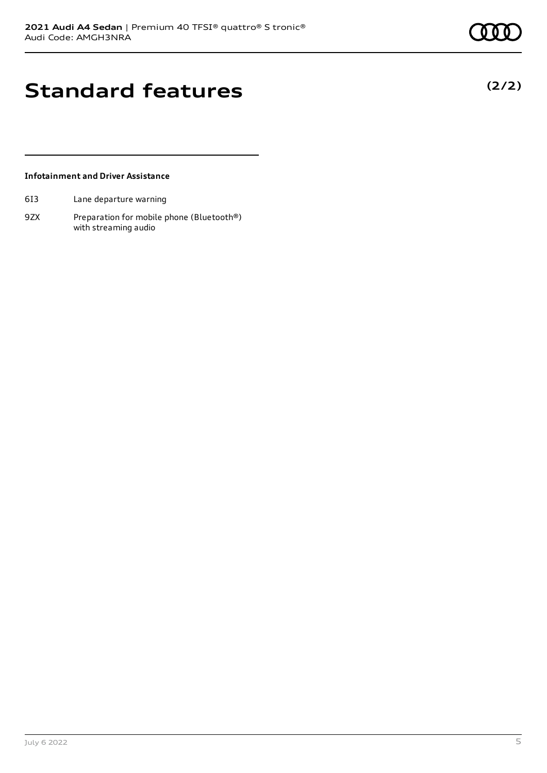**(2/2)**

## **Standard features**

#### **Infotainment and Driver Assistance**

- 6I3 Lane departure warning
- 9ZX Preparation for mobile phone (Bluetooth®) with streaming audio

July 6 2022 5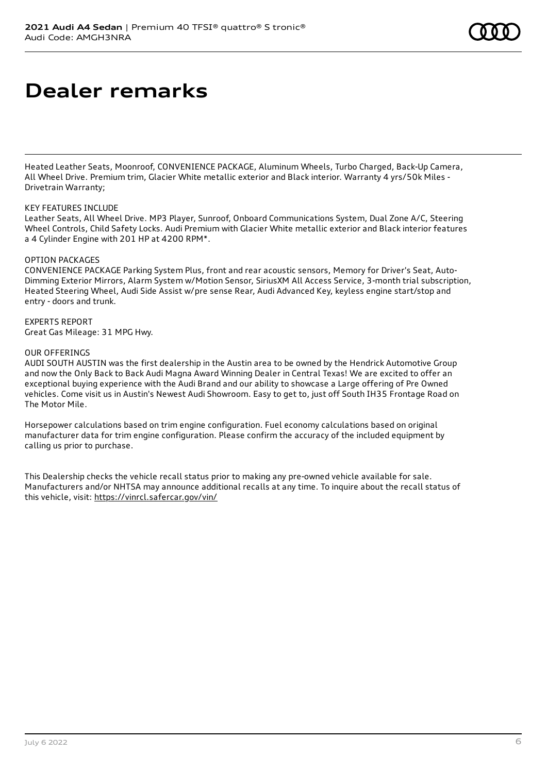### **Dealer remarks**

Heated Leather Seats, Moonroof, CONVENIENCE PACKAGE, Aluminum Wheels, Turbo Charged, Back-Up Camera, All Wheel Drive. Premium trim, Glacier White metallic exterior and Black interior. Warranty 4 yrs/50k Miles - Drivetrain Warranty;

#### KEY FEATURES INCLUDE

Leather Seats, All Wheel Drive. MP3 Player, Sunroof, Onboard Communications System, Dual Zone A/C, Steering Wheel Controls, Child Safety Locks. Audi Premium with Glacier White metallic exterior and Black interior features a 4 Cylinder Engine with 201 HP at 4200 RPM\*.

#### OPTION PACKAGES

CONVENIENCE PACKAGE Parking System Plus, front and rear acoustic sensors, Memory for Driver's Seat, Auto-Dimming Exterior Mirrors, Alarm System w/Motion Sensor, SiriusXM All Access Service, 3-month trial subscription, Heated Steering Wheel, Audi Side Assist w/pre sense Rear, Audi Advanced Key, keyless engine start/stop and entry - doors and trunk.

#### EXPERTS REPORT Great Gas Mileage: 31 MPG Hwy.

#### OUR OFFERINGS

AUDI SOUTH AUSTIN was the first dealership in the Austin area to be owned by the Hendrick Automotive Group and now the Only Back to Back Audi Magna Award Winning Dealer in Central Texas! We are excited to offer an exceptional buying experience with the Audi Brand and our ability to showcase a Large offering of Pre Owned vehicles. Come visit us in Austin's Newest Audi Showroom. Easy to get to, just off South IH35 Frontage Road on The Motor Mile.

Horsepower calculations based on trim engine configuration. Fuel economy calculations based on original manufacturer data for trim engine configuration. Please confirm the accuracy of the included equipment by calling us prior to purchase.

This Dealership checks the vehicle recall status prior to making any pre-owned vehicle available for sale. Manufacturers and/or NHTSA may announce additional recalls at any time. To inquire about the recall status of this vehicle, visit: <https://vinrcl.safercar.gov/vin/>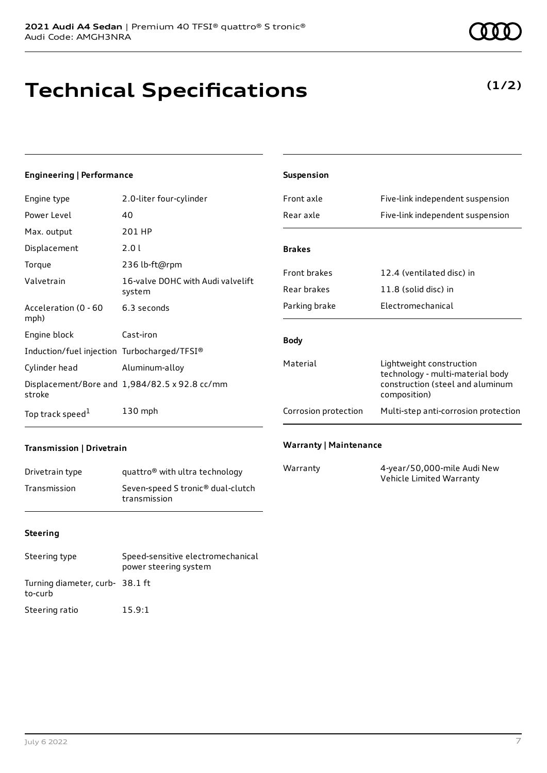# **Technical Specifications**

### **(1/2)**

#### **Engineering | Performance**

| Engine type                                 | 2.0-liter four-cylinder                       |
|---------------------------------------------|-----------------------------------------------|
| Power Level                                 | 40                                            |
| Max. output                                 | 201 HP                                        |
| Displacement                                | 2.01                                          |
| Torque                                      | 236 lb-ft@rpm                                 |
| Valvetrain                                  | 16-valve DOHC with Audi valvelift<br>system   |
| Acceleration (0 - 60<br>mph)                | 6.3 seconds                                   |
| Engine block                                | Cast-iron                                     |
| Induction/fuel injection Turbocharged/TFSI® |                                               |
| Cylinder head                               | Aluminum-alloy                                |
| stroke                                      | Displacement/Bore and 1,984/82.5 x 92.8 cc/mm |
| Top track speed <sup>1</sup>                | 130 mph                                       |

| Suspension           |                                                                                                                  |
|----------------------|------------------------------------------------------------------------------------------------------------------|
| Front axle           | Five-link independent suspension                                                                                 |
| Rear axle            | Five-link independent suspension                                                                                 |
|                      |                                                                                                                  |
| <b>Brakes</b>        |                                                                                                                  |
| <b>Front brakes</b>  | 12.4 (ventilated disc) in                                                                                        |
| Rear brakes          | 11.8 (solid disc) in                                                                                             |
| Parking brake        | Flectromechanical                                                                                                |
| <b>Body</b>          |                                                                                                                  |
| Material             | Lightweight construction<br>technology - multi-material body<br>construction (steel and aluminum<br>composition) |
| Corrosion protection | Multi-step anti-corrosion protection                                                                             |
|                      |                                                                                                                  |

### **Transmission | Drivetrain**

| Drivetrain type | quattro <sup>®</sup> with ultra technology                    |
|-----------------|---------------------------------------------------------------|
| Transmission    | Seven-speed S tronic <sup>®</sup> dual-clutch<br>transmission |

#### **Warranty | Maintenance**

| Warranty | 4-year/50,000-mile Audi New |
|----------|-----------------------------|
|          | Vehicle Limited Warranty    |

#### **Steering**

| Steering type                              | Speed-sensitive electromechanical<br>power steering system |
|--------------------------------------------|------------------------------------------------------------|
| Turning diameter, curb- 38.1 ft<br>to-curb |                                                            |
| Steering ratio                             | 15.9:1                                                     |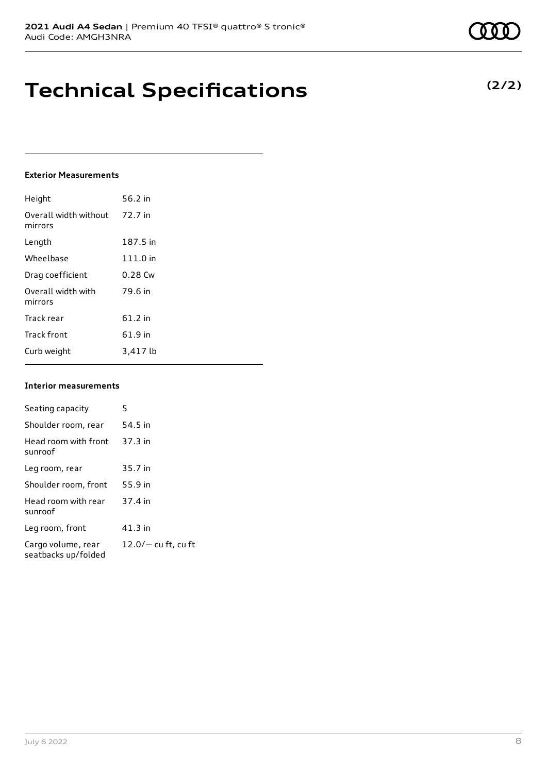**Technical Specifications**

#### **Exterior Measurements**

| Height                           | 56.2 in   |
|----------------------------------|-----------|
| Overall width without<br>mirrors | 72.7 in   |
| Length                           | 187.5 in  |
| Wheelbase                        | 111.0 in  |
| Drag coefficient                 | $0.28$ Cw |
| Overall width with<br>mirrors    | 79.6 in   |
| Track rear                       | 61.2 in   |
| <b>Track front</b>               | 61.9 in   |
| Curb weight                      | 3.417 lb  |

#### **Interior measurements**

| Seating capacity                          | 5                   |
|-------------------------------------------|---------------------|
| Shoulder room, rear                       | 54.5 in             |
| Head room with front<br>sunroof           | $37.3$ in           |
| Leg room, rear                            | 35.7 in             |
| Shoulder room, front                      | 55.9 in             |
| Head room with rear<br>sunroof            | 37.4 in             |
| Leg room, front                           | $41.3$ in           |
| Cargo volume, rear<br>seatbacks up/folded | 12.0/- cu ft, cu ft |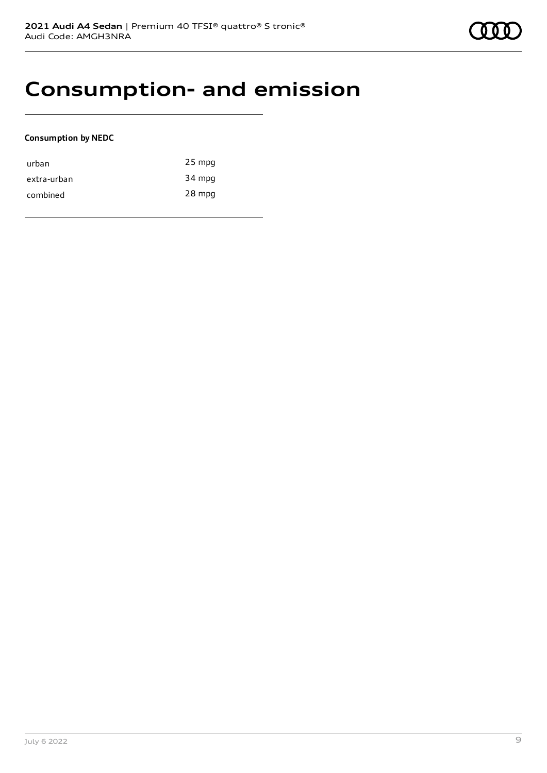# **Consumption- and emission**

### **Consumption by NEDC**

| urban       | $25$ mpg |
|-------------|----------|
| extra-urban | 34 mpg   |
| combined    | 28 mpg   |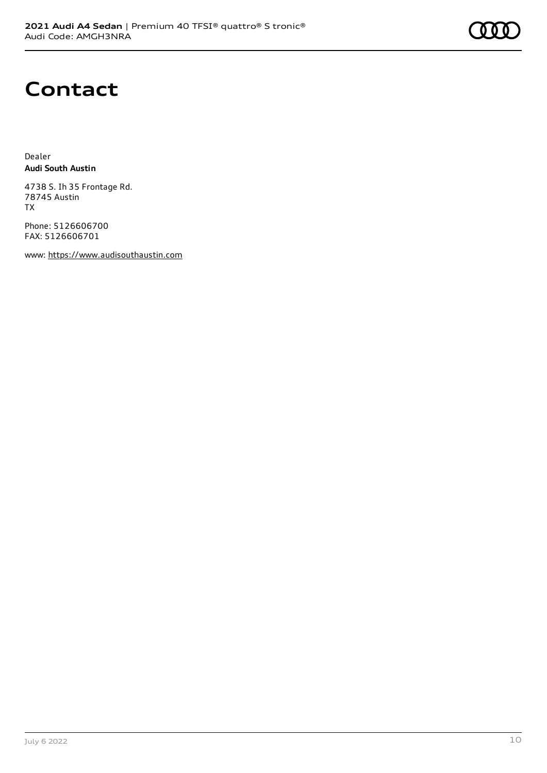

### **Contact**

Dealer **Audi South Austin**

4738 S. Ih 35 Frontage Rd. 78745 Austin TX

Phone: 5126606700 FAX: 5126606701

www: [https://www.audisouthaustin.com](https://www.audisouthaustin.com/)